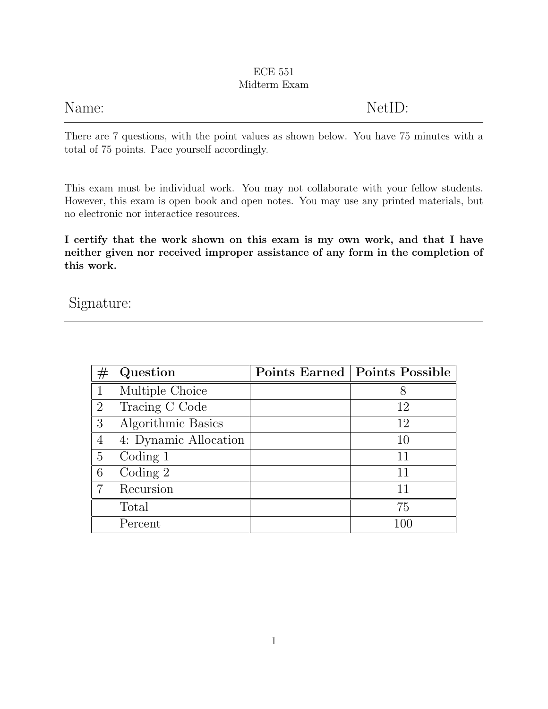### ECE 551 Midterm Exam

| Name: | NetID: |
|-------|--------|
|       |        |

There are 7 questions, with the point values as shown below. You have 75 minutes with a total of 75 points. Pace yourself accordingly.

This exam must be individual work. You may not collaborate with your fellow students. However, this exam is open book and open notes. You may use any printed materials, but no electronic nor interactice resources.

I certify that the work shown on this exam is my own work, and that I have neither given nor received improper assistance of any form in the completion of this work.

### Signature:

| $^{\#}$        | Question              | Points Earned   Points Possible |
|----------------|-----------------------|---------------------------------|
|                | Multiple Choice       | 8                               |
| 2              | Tracing C Code        | 12                              |
| 3              | Algorithmic Basics    | 12                              |
| 4              | 4: Dynamic Allocation | 10                              |
| $\overline{5}$ | Coding 1              | 11                              |
| 6              | Coding $2$            | 11                              |
|                | Recursion             | 11                              |
|                | Total                 | 75                              |
|                | Percent               | 100                             |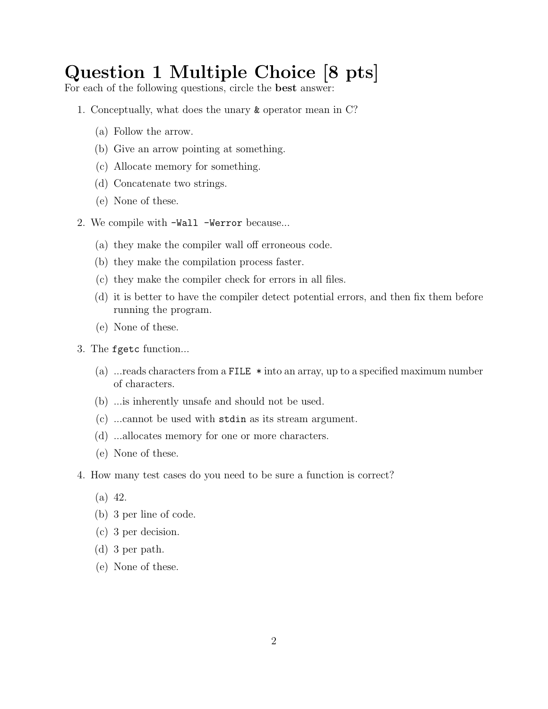# Question 1 Multiple Choice [8 pts]

For each of the following questions, circle the best answer:

- 1. Conceptually, what does the unary & operator mean in C?
	- (a) Follow the arrow.
	- (b) Give an arrow pointing at something.
	- (c) Allocate memory for something.
	- (d) Concatenate two strings.
	- (e) None of these.
- 2. We compile with -Wall -Werror because...
	- (a) they make the compiler wall off erroneous code.
	- (b) they make the compilation process faster.
	- (c) they make the compiler check for errors in all files.
	- (d) it is better to have the compiler detect potential errors, and then fix them before running the program.
	- (e) None of these.
- 3. The fgetc function...
	- (a) ...reads characters from a FILE \* into an array, up to a specified maximum number of characters.
	- (b) ...is inherently unsafe and should not be used.
	- (c) ...cannot be used with stdin as its stream argument.
	- (d) ...allocates memory for one or more characters.
	- (e) None of these.
- 4. How many test cases do you need to be sure a function is correct?
	- (a) 42.
	- (b) 3 per line of code.
	- (c) 3 per decision.
	- (d) 3 per path.
	- (e) None of these.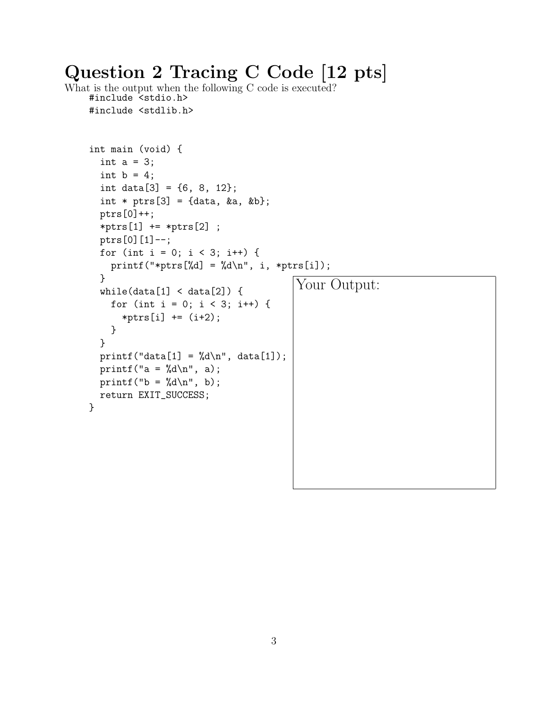# Question 2 Tracing C Code [12 pts]

What is the output when the following C code is executed? #include <stdio.h> #include <stdlib.h>

```
int main (void) {
  int a = 3;
  int b = 4;
  int data[3] = \{6, 8, 12\};int * ptrs[3] = {data, &a, &b};
  ptrs[0]++;
  *ptrs[1] += *ptrs[2];
  ptrs[0][1] --;
  for (int i = 0; i < 3; i++) {
    printf("*ptrs[%d] = %d\n", i, *ptrs[i]);
  }
  while(data[1] < data[2]) {
    for (int i = 0; i < 3; i++) {
       *ptrs[i] += (i+2);}
  }
  printf("data[1] = \sqrt[n]{d} \cdot \frac{n!}{n!}, data[1]);
  printf("a = \sqrt{d} \ln", a);
  printf("b = \frac{9}{4}a \cdot n", b);
  return EXIT_SUCCESS;
}
                                           Your Output:
```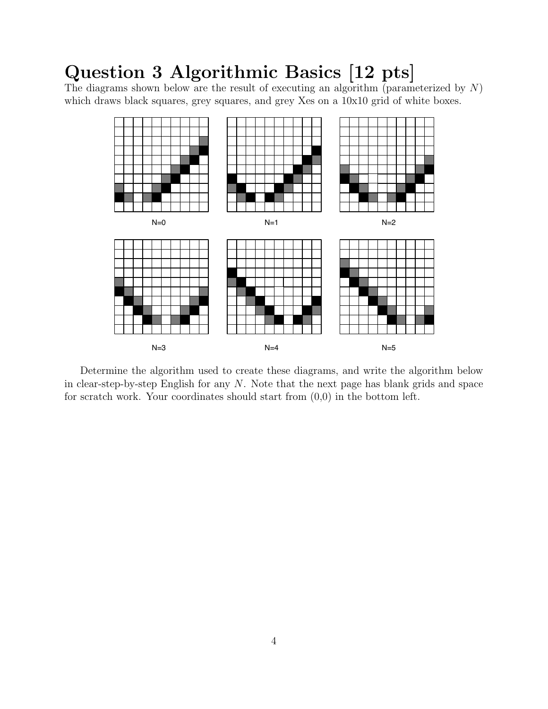# Question 3 Algorithmic Basics [12 pts]

The diagrams shown below are the result of executing an algorithm (parameterized by  $N$ ) which draws black squares, grey squares, and grey Xes on a 10x10 grid of white boxes.



Determine the algorithm used to create these diagrams, and write the algorithm below in clear-step-by-step English for any  $N$ . Note that the next page has blank grids and space for scratch work. Your coordinates should start from  $(0,0)$  in the bottom left.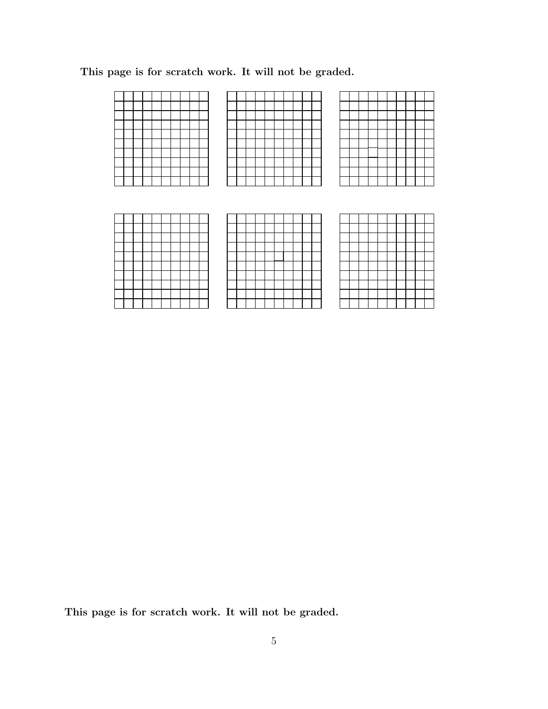This page is for scratch work. It will not be graded.

This page is for scratch work. It will not be graded.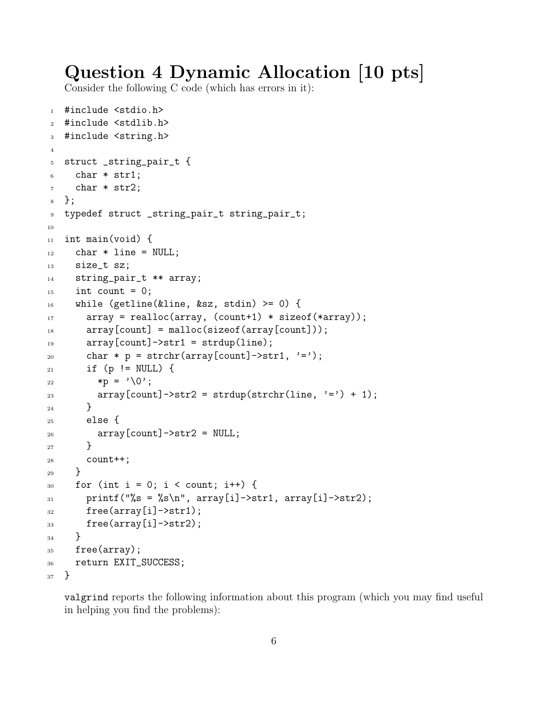## Question 4 Dynamic Allocation [10 pts]

Consider the following C code (which has errors in it):

```
1 #include <stdio.h>
2 #include <stdlib.h>
3 #include <string.h>
4
5 struct _string_pair_t {
6 char * str1;
     char * str2;
8 };
9 typedef struct _string_pair_t string_pair_t;
10
11 int main(void) {
12 char * line = NULL;
13 size_t sz;
14 string_pair_t ** array;
_{15} int count = 0;
_{16} while (getline(&line, &sz, stdin) >= 0) {
17 array = realloc(array, (count+1) * sizeof(*array));
18 array[count] = malloc(sizeof(array[count]));
_{19} array[count]->str1 = strdup(line);
20 char * p = strchr(array[count]->str1, '=');
_{21} if (p != NULL) {
22 \qquad \qquad \ast p = \vee 0;
23 array[count]->str2 = strdup(strchr(line, '=') + 1);
24 }
25 else {
26 array [count] ->str2 = NULL;
<sup>27</sup> }
28 count++;
29 }
30 for (int i = 0; i < count; i++) {
31 printf("%s = %s\n", array[i]->str1, array[i]->str2);
32 free(array[i]->str1);
33 free(array[i]->str2);
34 }
35 free(array);
36 return EXIT_SUCCESS;
37 }
```
valgrind reports the following information about this program (which you may find useful in helping you find the problems):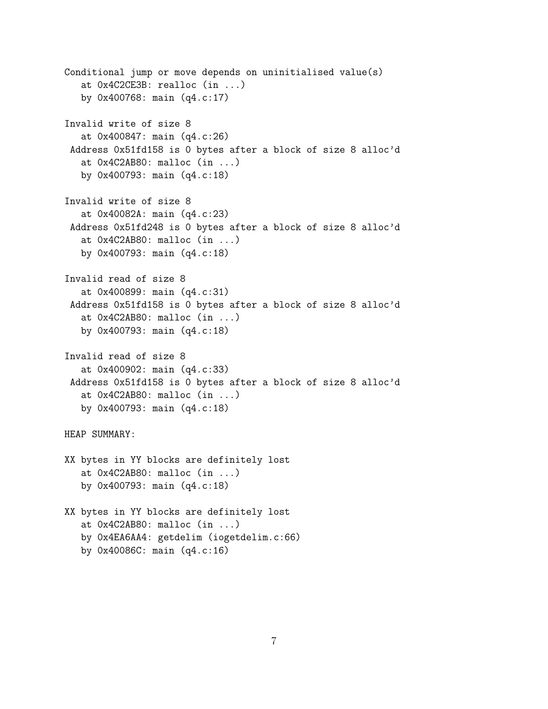```
Conditional jump or move depends on uninitialised value(s)
   at 0x4C2CE3B: realloc (in ...)
  by 0x400768: main (q4.c:17)
Invalid write of size 8
  at 0x400847: main (q4.c:26)
Address 0x51fd158 is 0 bytes after a block of size 8 alloc'd
   at 0x4C2AB80: malloc (in ...)
   by 0x400793: main (q4.c:18)
Invalid write of size 8
  at 0x40082A: main (q4.c:23)
Address 0x51fd248 is 0 bytes after a block of size 8 alloc'd
   at 0x4C2AB80: malloc (in ...)
  by 0x400793: main (q4.c:18)
Invalid read of size 8
  at 0x400899: main (q4.c:31)
Address 0x51fd158 is 0 bytes after a block of size 8 alloc'd
   at 0x4C2AB80: malloc (in ...)
   by 0x400793: main (q4.c:18)
Invalid read of size 8
   at 0x400902: main (q4.c:33)
Address 0x51fd158 is 0 bytes after a block of size 8 alloc'd
  at 0x4C2AB80: malloc (in ...)
   by 0x400793: main (q4.c:18)
HEAP SUMMARY:
XX bytes in YY blocks are definitely lost
   at 0x4C2AB80: malloc (in ...)
  by 0x400793: main (q4.c:18)
XX bytes in YY blocks are definitely lost
   at 0x4C2AB80: malloc (in ...)
   by 0x4EA6AA4: getdelim (iogetdelim.c:66)
   by 0x40086C: main (q4.c:16)
```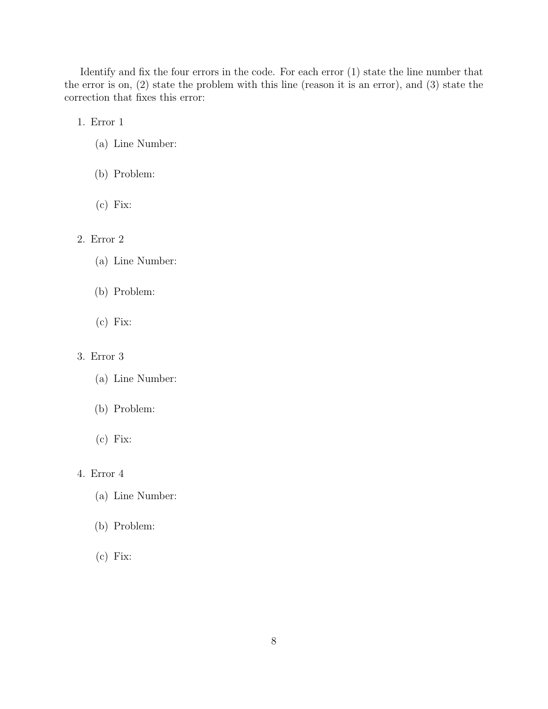Identify and fix the four errors in the code. For each error (1) state the line number that the error is on, (2) state the problem with this line (reason it is an error), and (3) state the correction that fixes this error:

1. Error 1

- (a) Line Number:
- (b) Problem:
- (c) Fix:

#### 2. Error 2

- (a) Line Number:
- (b) Problem:
- (c) Fix:

#### 3. Error 3

- (a) Line Number:
- (b) Problem:
- (c) Fix:

### 4. Error 4

- (a) Line Number:
- (b) Problem:
- (c) Fix: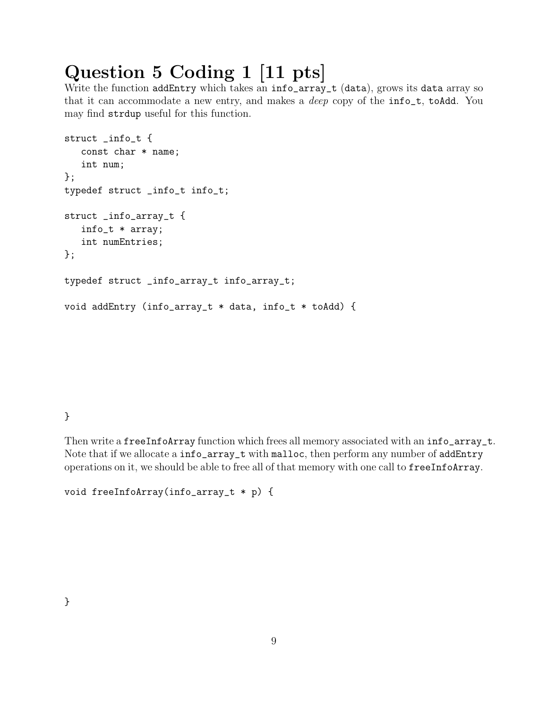# Question 5 Coding 1 [11 pts]

Write the function addEntry which takes an info\_array\_t (data), grows its data array so that it can accommodate a new entry, and makes a deep copy of the info\_t, toAdd. You may find strdup useful for this function.

```
struct _info_t {
   const char * name;
   int num;
};
typedef struct _info_t info_t;
struct _info_array_t {
   info_t * array;
   int numEntries;
};
typedef struct _info_array_t info_array_t;
void addEntry (info_array_t * data, info_t * toAdd) {
```
### }

Then write a freeInfoArray function which frees all memory associated with an info\_array\_t. Note that if we allocate a info\_array\_t with malloc, then perform any number of addEntry operations on it, we should be able to free all of that memory with one call to freeInfoArray.

```
void freeInfoArray(info_array_t * p) {
```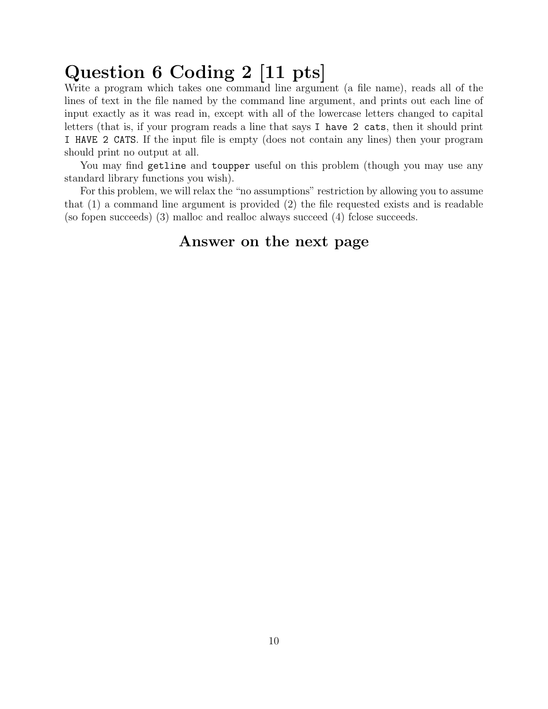# Question 6 Coding 2 [11 pts]

Write a program which takes one command line argument (a file name), reads all of the lines of text in the file named by the command line argument, and prints out each line of input exactly as it was read in, except with all of the lowercase letters changed to capital letters (that is, if your program reads a line that says I have 2 cats, then it should print I HAVE 2 CATS. If the input file is empty (does not contain any lines) then your program should print no output at all.

You may find getline and toupper useful on this problem (though you may use any standard library functions you wish).

For this problem, we will relax the "no assumptions" restriction by allowing you to assume that (1) a command line argument is provided (2) the file requested exists and is readable (so fopen succeeds) (3) malloc and realloc always succeed (4) fclose succeeds.

### Answer on the next page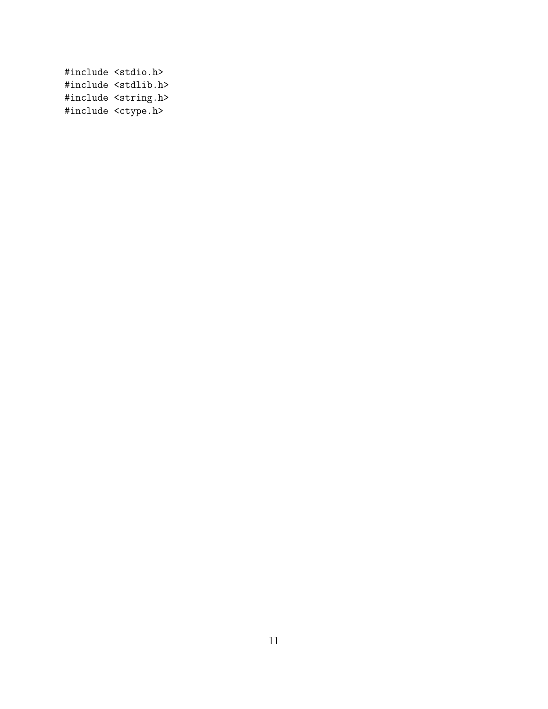#include <stdio.h> #include <stdlib.h> #include <string.h> #include <ctype.h>